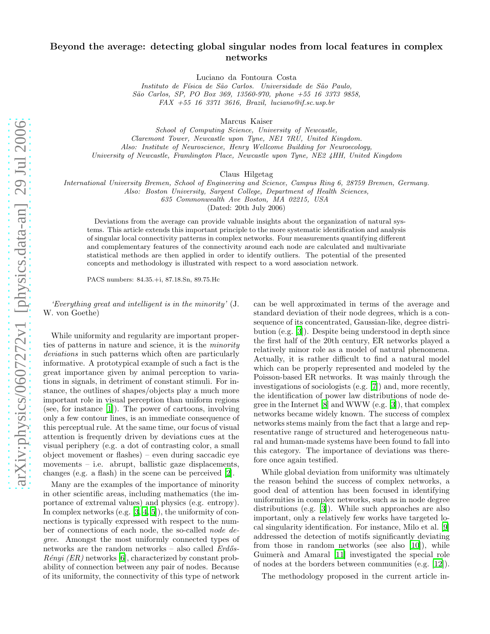## Beyond the average: detecting global singular nodes from local features in complex networks

Luciano da Fontoura Costa

*Instituto de F´ısica de S˜ao Carlos. Universidade de S˜ao Paulo, S˜ao Carlos, SP, PO Box 369, 13560-970, phone +55 16 3373 9858, FAX +55 16 3371 3616, Brazil, luciano@if.sc.usp.br*

Marcus Kaiser

*School of Computing Science, University of Newcastle, Claremont Tower, Newcastle upon Tyne, NE1 7RU, United Kingdom. Also: Institute of Neuroscience, Henry Wellcome Building for Neuroecology, University of Newcastle, Framlington Place, Newcastle upon Tyne, NE2 4HH, United Kingdom*

Claus Hilgetag

*International University Bremen, School of Engineering and Science, Campus Ring 6, 28759 Bremen, Germany.*

*Also: Boston University, Sargent College, Department of Health Sciences, 635 Commonwealth Ave Boston, MA 02215, USA*

(Dated: 20th July 2006)

Deviations from the average can provide valuable insights about the organization of natural systems. This article extends this important principle to the more systematic identification and analysis of singular local connectivity patterns in complex networks. Four measurements quantifying different and complementary features of the connectivity around each node are calculated and multivariate statistical methods are then applied in order to identify outliers. The potential of the presented concepts and methodology is illustrated with respect to a word association network.

PACS numbers: 84.35.+i, 87.18.Sn, 89.75.Hc

'Everything great and intelligent is in the minority' (J. W. von Goethe)

While uniformity and regularity are important properties of patterns in nature and science, it is the minority deviations in such patterns which often are particularly informative. A prototypical example of such a fact is the great importance given by animal perception to variations in signals, in detriment of constant stimuli. For instance, the outlines of shapes/objects play a much more important role in visual perception than uniform regions (see, for instance [\[1\]](#page-4-0)). The power of cartoons, involving only a few contour lines, is an immediate consequence of this perceptual rule. At the same time, our focus of visual attention is frequently driven by deviations cues at the visual periphery (e.g. a dot of contrasting color, a small object movement or flashes) – even during saccadic eye movements – i.e. abrupt, ballistic gaze displacements, changes (e.g. a flash) in the scene can be perceived [\[2\]](#page-4-1).

Many are the examples of the importance of minority in other scientific areas, including mathematics (the importance of extremal values) and physics (e.g. entropy). In complex networks (e.g. [\[3,](#page-4-2) [4,](#page-4-3) [5](#page-4-4)]), the uniformity of connections is typically expressed with respect to the number of connections of each node, the so-called node degree. Amongst the most uniformly connected types of networks are the random networks – also called  $Erd\ddot{o}s$ - $R\acute{e}nyi$  (ER) networks [\[6\]](#page-4-5), characterized by constant probability of connection between any pair of nodes. Because of its uniformity, the connectivity of this type of network

can be well approximated in terms of the average and standard deviation of their node degrees, which is a consequence of its concentrated, Gaussian-like, degree distribution (e.g. [\[3\]](#page-4-2)). Despite being understood in depth since the first half of the 20th century, ER networks played a relatively minor role as a model of natural phenomena. Actually, it is rather difficult to find a natural model which can be properly represented and modeled by the Poisson-based ER networks. It was mainly through the investigations of sociologists (e.g. [\[7](#page-4-6)]) and, more recently, the identification of power law distributions of node degree in the Internet [\[8\]](#page-4-7) and WWW (e.g. [\[3\]](#page-4-2)), that complex networks became widely known. The success of complex networks stems mainly from the fact that a large and representative range of structured and heterogeneous natural and human-made systems have been found to fall into this category. The importance of deviations was therefore once again testified.

While global deviation from uniformity was ultimately the reason behind the success of complex networks, a good deal of attention has been focused in identifying uniformities in complex networks, such as in node degree distributions (e.g. [\[3\]](#page-4-2)). While such approaches are also important, only a relatively few works have targeted local singularity identification. For instance, Milo et al. [\[9](#page-4-8)] addressed the detection of motifs significantly deviating from those in random networks (see also [\[10](#page-4-9)]), while Guimerà and Amaral [\[11\]](#page-4-10) investigated the special role of nodes at the borders between communities (e.g. [\[12\]](#page-4-11)).

The methodology proposed in the current article in-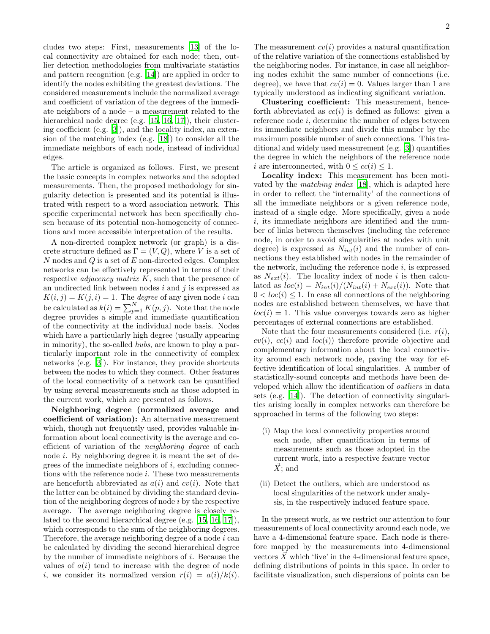cludes two steps: First, measurements [\[13\]](#page-4-12) of the local connectivity are obtained for each node; then, outlier detection methodologies from multivariate statistics and pattern recognition (e.g. [\[14](#page-4-13)]) are applied in order to identify the nodes exhibiting the greatest deviations. The considered measurements include the normalized average and coefficient of variation of the degrees of the immediate neighbors of a node – a measurement related to the hierarchical node degree (e.g. [\[15,](#page-4-14) [16,](#page-4-15) [17](#page-4-16)]), their clustering coefficient (e.g. [\[3](#page-4-2)]), and the locality index, an extension of the matching index (e.g. [\[18\]](#page-4-17)) to consider all the immediate neighbors of each node, instead of individual edges.

The article is organized as follows. First, we present the basic concepts in complex networks and the adopted measurements. Then, the proposed methodology for singularity detection is presented and its potential is illustrated with respect to a word association network. This specific experimental network has been specifically chosen because of its potential non-homogeneity of connections and more accessible interpretation of the results.

A non-directed complex network (or graph) is a discrete structure defined as  $\Gamma = (V, Q)$ , where V is a set of  $N$  nodes and  $Q$  is a set of  $E$  non-directed edges. Complex networks can be effectively represented in terms of their respective *adjacency matrix K*, such that the presence of an undirected link between nodes  $i$  and  $j$  is expressed as  $K(i, j) = K(j, i) = 1$ . The *degree* of any given node *i* can be calculated as  $k(i) = \sum_{p=1}^{N} K(p, j)$ . Note that the node degree provides a simple and immediate quantification of the connectivity at the individual node basis. Nodes which have a particularly high degree (usually appearing in minority), the so-called hubs, are known to play a particularly important role in the connectivity of complex networks (e.g. [\[3](#page-4-2)]). For instance, they provide shortcuts between the nodes to which they connect. Other features of the local connectivity of a network can be quantified by using several measurements such as those adopted in the current work, which are presented as follows.

Neighboring degree (normalized average and coefficient of variation): An alternative measurement which, though not frequently used, provides valuable information about local connectivity is the average and coefficient of variation of the neighboring degree of each node  $i$ . By neighboring degree it is meant the set of degrees of the immediate neighbors of  $i$ , excluding connections with the reference node  $i$ . These two measurements are henceforth abbreviated as  $a(i)$  and  $cv(i)$ . Note that the latter can be obtained by dividing the standard deviation of the neighboring degrees of node i by the respective average. The average neighboring degree is closely related to the second hierarchical degree (e.g. [\[15,](#page-4-14) [16,](#page-4-15) [17\]](#page-4-16)), which corresponds to the sum of the neighboring degrees. Therefore, the average neighboring degree of a node i can be calculated by dividing the second hierarchical degree by the number of immediate neighbors of i. Because the values of  $a(i)$  tend to increase with the degree of node i, we consider its normalized version  $r(i) = a(i)/k(i)$ .

The measurement  $cv(i)$  provides a natural quantification of the relative variation of the connections established by the neighboring nodes. For instance, in case all neighboring nodes exhibit the same number of connections (i.e. degree), we have that  $cv(i) = 0$ . Values larger than 1 are typically understood as indicating significant variation.

Clustering coefficient: This measurement, henceforth abbreviated as  $cc(i)$  is defined as follows: given a reference node i, determine the number of edges between its immediate neighbors and divide this number by the maximum possible number of such connections. This traditional and widely used measurement (e.g. [\[3\]](#page-4-2)) quantifies the degree in which the neighbors of the reference node i are interconnected, with  $0 \leq cc(i) \leq 1$ .

Locality index: This measurement has been motivated by the matching index [\[18](#page-4-17)], which is adapted here in order to reflect the 'internality' of the connections of all the immediate neighbors or a given reference node, instead of a single edge. More specifically, given a node i, its immediate neighbors are identified and the number of links between themselves (including the reference node, in order to avoid singularities at nodes with unit degree) is expressed as  $N_{int}(i)$  and the number of connections they established with nodes in the remainder of the network, including the reference node  $i$ , is expressed as  $N_{ext}(i)$ . The locality index of node i is then calculated as  $loc(i) = N_{int}(i)/(N_{int}(i) + N_{ext}(i))$ . Note that  $0 < loc(i) \leq 1$ . In case all connections of the neighboring nodes are established between themselves, we have that  $loc(i) = 1$ . This value converges towards zero as higher percentages of external connections are established.

Note that the four measurements considered (i.e.  $r(i)$ ,  $cv(i), cc(i)$  and  $loc(i)$  therefore provide objective and complementary information about the local connectivity around each network node, paving the way for effective identification of local singularities. A number of statistically-sound concepts and methods have been developed which allow the identification of outliers in data sets (e.g. [\[14\]](#page-4-13)). The detection of connectivity singularities arising locally in complex networks can therefore be approached in terms of the following two steps:

- (i) Map the local connectivity properties around each node, after quantification in terms of measurements such as those adopted in the current work, into a respective feature vector  $\vec{X}$ ; and
- (ii) Detect the outliers, which are understood as local singularities of the network under analysis, in the respectively induced feature space.

In the present work, as we restrict our attention to four measurements of local connectivity around each node, we have a 4-dimensional feature space. Each node is therefore mapped by the measurements into 4-dimensional vectors  $\vec{X}$  which 'live' in the 4-dimensional feature space, defining distributions of points in this space. In order to facilitate visualization, such dispersions of points can be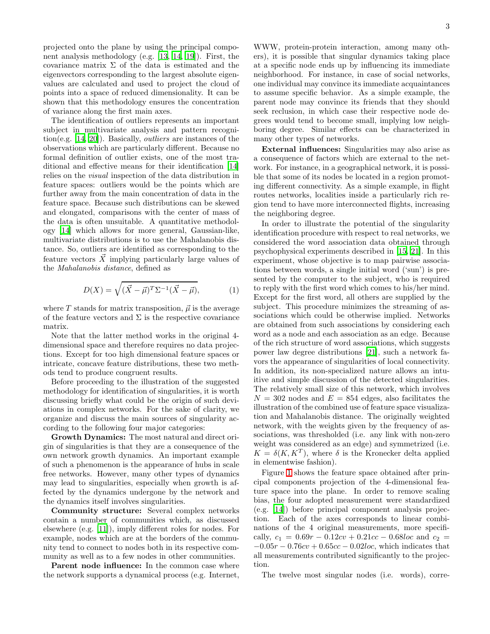projected onto the plane by using the principal component analysis methodology (e.g. [\[13,](#page-4-12) [14](#page-4-13), [19\]](#page-4-18)). First, the covariance matrix  $\Sigma$  of the data is estimated and the eigenvectors corresponding to the largest absolute eigenvalues are calculated and used to project the cloud of points into a space of reduced dimensionality. It can be shown that this methodology ensures the concentration of variance along the first main axes.

The identification of outliers represents an important subject in multivariate analysis and pattern recognition(e.g. [\[14,](#page-4-13) [20\]](#page-4-19)). Basically, outliers are instances of the observations which are particularly different. Because no formal definition of outlier exists, one of the most traditional and effective means for their identification [\[14](#page-4-13)] relies on the visual inspection of the data distribution in feature spaces: outliers would be the points which are further away from the main concentration of data in the feature space. Because such distributions can be skewed and elongated, comparisons with the center of mass of the data is often unsuitable. A quantitative methodology [\[14\]](#page-4-13) which allows for more general, Gaussian-like, multivariate distributions is to use the Mahalanobis distance. So, outliers are identified as corresponding to the feature vectors  $\vec{X}$  implying particularly large values of the Mahalanobis distance, defined as

$$
D(X) = \sqrt{(\vec{X} - \vec{\mu})^T \Sigma^{-1} (\vec{X} - \vec{\mu})},\tag{1}
$$

where T stands for matrix transposition,  $\vec{\mu}$  is the average of the feature vectors and  $\Sigma$  is the respective covariance matrix.

Note that the latter method works in the original 4 dimensional space and therefore requires no data projections. Except for too high dimensional feature spaces or intricate, concave feature distributions, these two methods tend to produce congruent results.

Before proceeding to the illustration of the suggested methodology for identification of singularities, it is worth discussing briefly what could be the origin of such deviations in complex networks. For the sake of clarity, we organize and discuss the main sources of singularity according to the following four major categories:

Growth Dynamics: The most natural and direct origin of singularities is that they are a consequence of the own network growth dynamics. An important example of such a phenomenon is the appearance of hubs in scale free networks. However, many other types of dynamics may lead to singularities, especially when growth is affected by the dynamics undergone by the network and the dynamics itself involves singularities.

Community structure: Several complex networks contain a number of communities which, as discussed elsewhere (e.g. [\[11\]](#page-4-10)), imply different roles for nodes. For example, nodes which are at the borders of the community tend to connect to nodes both in its respective community as well as to a few nodes in other communities.

Parent node influence: In the common case where the network supports a dynamical process (e.g. Internet,

WWW, protein-protein interaction, among many others), it is possible that singular dynamics taking place at a specific node ends up by influencing its immediate neighborhood. For instance, in case of social networks, one individual may convince its immediate acquaintances to assume specific behavior. As a simple example, the parent node may convince its friends that they should seek reclusion, in which case their respective node degrees would tend to become small, implying low neighboring degree. Similar effects can be characterized in many other types of networks.

External influences: Singularities may also arise as a consequence of factors which are external to the network. For instance, in a geographical network, it is possible that some of its nodes be located in a region promoting different connectivity. As a simple example, in flight routes networks, localities inside a particularly rich region tend to have more interconnected flights, increasing the neighboring degree.

In order to illustrate the potential of the singularity identification procedure with respect to real networks, we considered the word association data obtained through psychophysical experiments described in [\[15,](#page-4-14) [21\]](#page-4-20). In this experiment, whose objective is to map pairwise associations between words, a single initial word ('sun') is presented by the computer to the subject, who is required to reply with the first word which comes to his/her mind. Except for the first word, all others are supplied by the subject. This procedure minimizes the streaming of associations which could be otherwise implied. Networks are obtained from such associations by considering each word as a node and each association as an edge. Because of the rich structure of word associations, which suggests power law degree distributions [\[21\]](#page-4-20), such a network favors the appearance of singularities of local connectivity. In addition, its non-specialized nature allows an intuitive and simple discussion of the detected singularities. The relatively small size of this network, which involves  $N = 302$  nodes and  $E = 854$  edges, also facilitates the illustration of the combined use of feature space visualization and Mahalanobis distance. The originally weighted network, with the weights given by the frequency of associations, was thresholded (i.e. any link with non-zero weight was considered as an edge) and symmetrized (i.e.  $K = \delta(K, K^T)$ , where  $\delta$  is the Kronecker delta applied in elementwise fashion).

Figure [1](#page-3-0) shows the feature space obtained after principal components projection of the 4-dimensional feature space into the plane. In order to remove scaling bias, the four adopted measurement were standardized (e.g. [\[14\]](#page-4-13)) before principal component analysis projection. Each of the axes corresponds to linear combinations of the 4 original measurements, more specifically,  $c_1 = 0.69r - 0.12cv + 0.21cc - 0.68loc$  and  $c_2 =$  $-0.05r - 0.76cv + 0.65cc - 0.02loc$ , which indicates that all measurements contributed significantly to the projection.

The twelve most singular nodes (i.e. words), corre-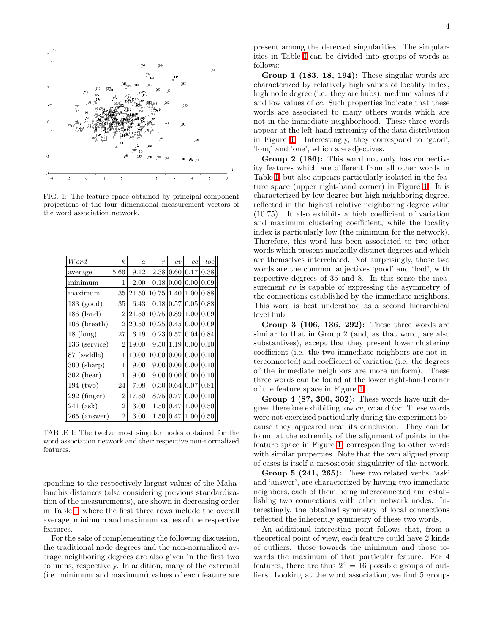

<span id="page-3-0"></span>FIG. 1: The feature space obtained by principal component projections of the four dimensional measurement vectors of the word association network.

| Word                  | $\boldsymbol{k}$ | $\overline{a}$ | $\boldsymbol{r}$        | cv                               | cc                                       | $_{loc}$ |
|-----------------------|------------------|----------------|-------------------------|----------------------------------|------------------------------------------|----------|
| average               | 5.66             | 9.12           | 2.38                    |                                  | $0.60$ $0.17$                            | 0.38     |
| minimum               | 1                | 2.00           | 0.18                    | $0.00\,0.00$                     |                                          | 0.09     |
| maximum               | 35               | 21.50          | 10.75                   |                                  | 1.40 1.00                                | 0.88     |
| $183 \text{ (good)}$  | 35               | 6.43           |                         |                                  | $0.18 \mid 0.57 \mid 0.05 \mid$          | 0.88     |
| $186 \; (land)$       | $\overline{2}$   | 21.50          | 10.75                   | 0.89                             | 1.00                                     | 0.09     |
| $106$ (breath)        | $\overline{2}$   | 20.50          | $10.25 \, 0.45 \, 0.00$ |                                  |                                          | 0.09     |
| $18 \; (\text{long})$ | 27               | 6.19           | 0.23                    |                                  | 0.57 0.04                                | 0.84     |
| 136 (service)         | $\overline{2}$   | 19.00          | 9.50                    |                                  | $1.19$ 0.00                              | 0.10     |
| 87 (saddle)           | 1                | 10.00          | 10.00                   |                                  | $0.00\,0.00$                             | 0.10     |
| $300$ (sharp)         | 1                | 9.00           |                         |                                  | $9.00\,0.00\,0.00$                       | 0.10     |
| $302$ (bear)          | 1                | 9.00           |                         |                                  | $9.00 \,   \, 0.00 \,   \, 0.00 \,   \,$ | 0.10     |
| $194$ (two)           | 24               | 7.08           | 0.30                    | 0.64 0.07                        |                                          | 0.81     |
| 292 (finger)          | $\overline{2}$   | 17.50          | 8.75                    |                                  | $0.77$ 0.00                              | 0.10     |
| $241$ (ask)           | $\overline{2}$   | 3.00           |                         | $1.50 \,   \, 0.47 \,   \, 1.00$ |                                          | 0.50     |
| $265$ (answer)        | $\overline{2}$   | 3.00           |                         | 1.50 0.47                        | 1.00                                     | $0.50\,$ |

<span id="page-3-1"></span>TABLE I: The twelve most singular nodes obtained for the word association network and their respective non-normalized features.

sponding to the respectively largest values of the Mahalanobis distances (also considering previous standardization of the measurements), are shown in decreasing order in Table [I,](#page-3-1) where the first three rows include the overall average, minimum and maximum values of the respective features.

For the sake of complementing the following discussion, the traditional node degrees and the non-normalized average neighboring degrees are also given in the first two columns, respectively. In addition, many of the extremal (i.e. minimum and maximum) values of each feature are present among the detected singularities. The singularities in Table [I](#page-3-1) can be divided into groups of words as follows:

Group 1 (183, 18, 194): These singular words are characterized by relatively high values of locality index, high node degree (i.e. they are hubs), medium values of  $r$ and low values of cc. Such properties indicate that these words are associated to many others words which are not in the immediate neighborhood. These three words appear at the left-hand extremity of the data distribution in Figure [1.](#page-3-0) Interestingly, they correspond to 'good', 'long' and 'one', which are adjectives.

Group 2 (186): This word not only has connectivity features which are different from all other words in Table [I,](#page-3-1) but also appears particularly isolated in the feature space (upper right-hand corner) in Figure [1.](#page-3-0) It is characterized by low degree but high neighboring degree, reflected in the highest relative neighboring degree value (10.75). It also exhibits a high coefficient of variation and maximum clustering coefficient, while the locality index is particularly low (the minimum for the network). Therefore, this word has been associated to two other words which present markedly distinct degrees and which are themselves interrelated. Not surprisingly, those two words are the common adjectives 'good' and 'bad', with respective degrees of 35 and 8. In this sense the measurement cv is capable of expressing the asymmetry of the connections established by the immediate neighbors. This word is best understood as a second hierarchical level hub.

Group 3 (106, 136, 292): These three words are similar to that in Group 2 (and, as that word, are also substantives), except that they present lower clustering coefficient (i.e. the two immediate neighbors are not interconnected) and coefficient of variation (i.e. the degrees of the immediate neighbors are more uniform). These three words can be found at the lower right-hand corner of the feature space in Figure [1.](#page-3-0)

Group 4 (87, 300, 302): These words have unit degree, therefore exhibiting low cv, cc and loc. These words were not exercised particularly during the experiment because they appeared near its conclusion. They can be found at the extremity of the alignment of points in the feature space in Figure [1,](#page-3-0) corresponding to other words with similar properties. Note that the own aligned group of cases is itself a mesoscopic singularity of the network.

Group 5 (241, 265): These two related verbs, 'ask' and 'answer', are characterized by having two immediate neighbors, each of them being interconnected and establishing two connections with other network nodes. Interestingly, the obtained symmetry of local connections reflected the inherently symmetry of these two words.

An additional interesting point follows that, from a theoretical point of view, each feature could have 2 kinds of outliers: those towards the minimum and those towards the maximum of that particular feature. For 4 features, there are thus  $2^4 = 16$  possible groups of outliers. Looking at the word association, we find 5 groups